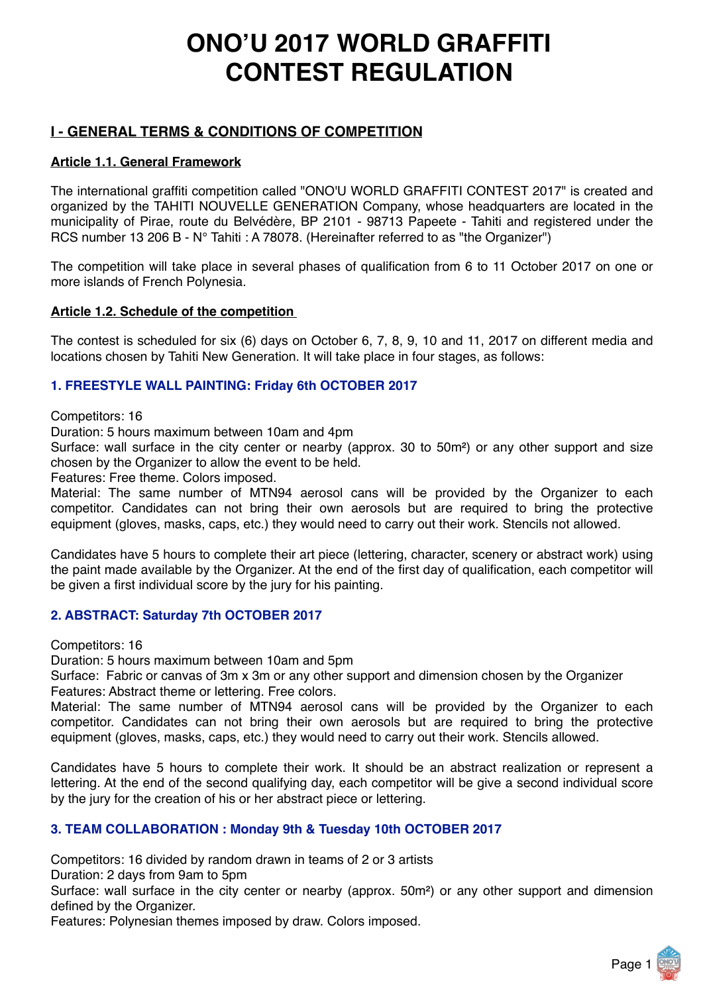# **ONO'U 2017 WORLD GRAFFITI CONTEST REGULATION**

# **I - GENERAL TERMS & CONDITIONS OF COMPETITION**

## **Article 1.1. General Framework**

The international graffiti competition called "ONO'U WORLD GRAFFITI CONTEST 2017" is created and organized by the TAHITI NOUVELLE GENERATION Company, whose headquarters are located in the municipality of Pirae, route du Belvédère, BP 2101 - 98713 Papeete - Tahiti and registered under the RCS number 13 206 B - N° Tahiti : A 78078. (Hereinafter referred to as "the Organizer")

The competition will take place in several phases of qualification from 6 to 11 October 2017 on one or more islands of French Polynesia.

## **Article 1.2. Schedule of the competition**

The contest is scheduled for six (6) days on October 6, 7, 8, 9, 10 and 11, 2017 on different media and locations chosen by Tahiti New Generation. It will take place in four stages, as follows:

# **1. FREESTYLE WALL PAINTING: Friday 6th OCTOBER 2017**

Competitors: 16

Duration: 5 hours maximum between 10am and 4pm

Surface: wall surface in the city center or nearby (approx. 30 to 50m²) or any other support and size chosen by the Organizer to allow the event to be held.

Features: Free theme. Colors imposed.

Material: The same number of MTN94 aerosol cans will be provided by the Organizer to each competitor. Candidates can not bring their own aerosols but are required to bring the protective equipment (gloves, masks, caps, etc.) they would need to carry out their work. Stencils not allowed.

Candidates have 5 hours to complete their art piece (lettering, character, scenery or abstract work) using the paint made available by the Organizer. At the end of the first day of qualification, each competitor will be given a first individual score by the jury for his painting.

## **2. ABSTRACT: Saturday 7th OCTOBER 2017**

Competitors: 16

Duration: 5 hours maximum between 10am and 5pm

Surface: Fabric or canvas of 3m x 3m or any other support and dimension chosen by the Organizer Features: Abstract theme or lettering. Free colors.

Material: The same number of MTN94 aerosol cans will be provided by the Organizer to each competitor. Candidates can not bring their own aerosols but are required to bring the protective equipment (gloves, masks, caps, etc.) they would need to carry out their work. Stencils allowed.

Candidates have 5 hours to complete their work. It should be an abstract realization or represent a lettering. At the end of the second qualifying day, each competitor will be give a second individual score by the jury for the creation of his or her abstract piece or lettering.

## **3. TEAM COLLABORATION : Monday 9th & Tuesday 10th OCTOBER 2017**

Competitors: 16 divided by random drawn in teams of 2 or 3 artists

Duration: 2 days from 9am to 5pm

Surface: wall surface in the city center or nearby (approx. 50m²) or any other support and dimension defined by the Organizer.

Features: Polynesian themes imposed by draw. Colors imposed.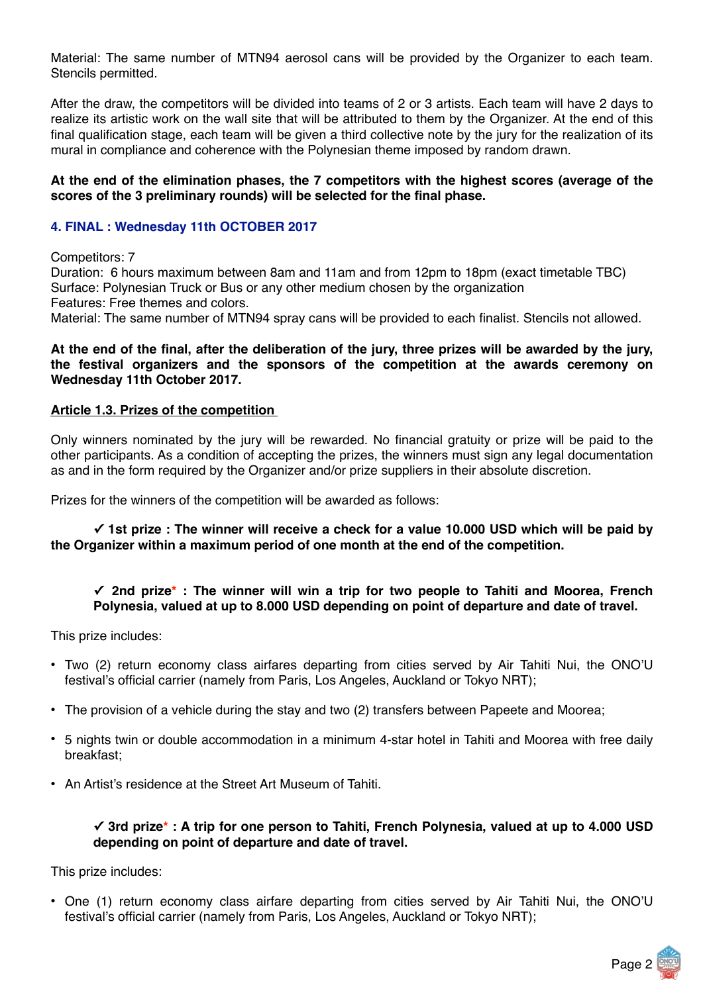Material: The same number of MTN94 aerosol cans will be provided by the Organizer to each team. Stencils permitted.

After the draw, the competitors will be divided into teams of 2 or 3 artists. Each team will have 2 days to realize its artistic work on the wall site that will be attributed to them by the Organizer. At the end of this final qualification stage, each team will be given a third collective note by the jury for the realization of its mural in compliance and coherence with the Polynesian theme imposed by random drawn.

#### **At the end of the elimination phases, the 7 competitors with the highest scores (average of the scores of the 3 preliminary rounds) will be selected for the final phase.**

#### **4. FINAL : Wednesday 11th OCTOBER 2017**

Competitors: 7

Duration: 6 hours maximum between 8am and 11am and from 12pm to 18pm (exact timetable TBC) Surface: Polynesian Truck or Bus or any other medium chosen by the organization Features: Free themes and colors.

Material: The same number of MTN94 spray cans will be provided to each finalist. Stencils not allowed.

#### **At the end of the final, after the deliberation of the jury, three prizes will be awarded by the jury, the festival organizers and the sponsors of the competition at the awards ceremony on Wednesday 11th October 2017.**

## **Article 1.3. Prizes of the competition**

Only winners nominated by the jury will be rewarded. No financial gratuity or prize will be paid to the other participants. As a condition of accepting the prizes, the winners must sign any legal documentation as and in the form required by the Organizer and/or prize suppliers in their absolute discretion.

Prizes for the winners of the competition will be awarded as follows:

#### **✓ 1st prize : The winner will receive a check for a value 10.000 USD which will be paid by the Organizer within a maximum period of one month at the end of the competition.**

## **✓ 2nd prize\* : The winner will win a trip for two people to Tahiti and Moorea, French Polynesia, valued at up to 8.000 USD depending on point of departure and date of travel.**

This prize includes:

- Two (2) return economy class airfares departing from cities served by Air Tahiti Nui, the ONO'U festival's official carrier (namely from Paris, Los Angeles, Auckland or Tokyo NRT);
- The provision of a vehicle during the stay and two (2) transfers between Papeete and Moorea;
- 5 nights twin or double accommodation in a minimum 4-star hotel in Tahiti and Moorea with free daily breakfast;
- An Artist's residence at the Street Art Museum of Tahiti.

#### **✓ 3rd prize\* : A trip for one person to Tahiti, French Polynesia, valued at up to 4.000 USD depending on point of departure and date of travel.**

This prize includes:

• One (1) return economy class airfare departing from cities served by Air Tahiti Nui, the ONO'U festival's official carrier (namely from Paris, Los Angeles, Auckland or Tokyo NRT);

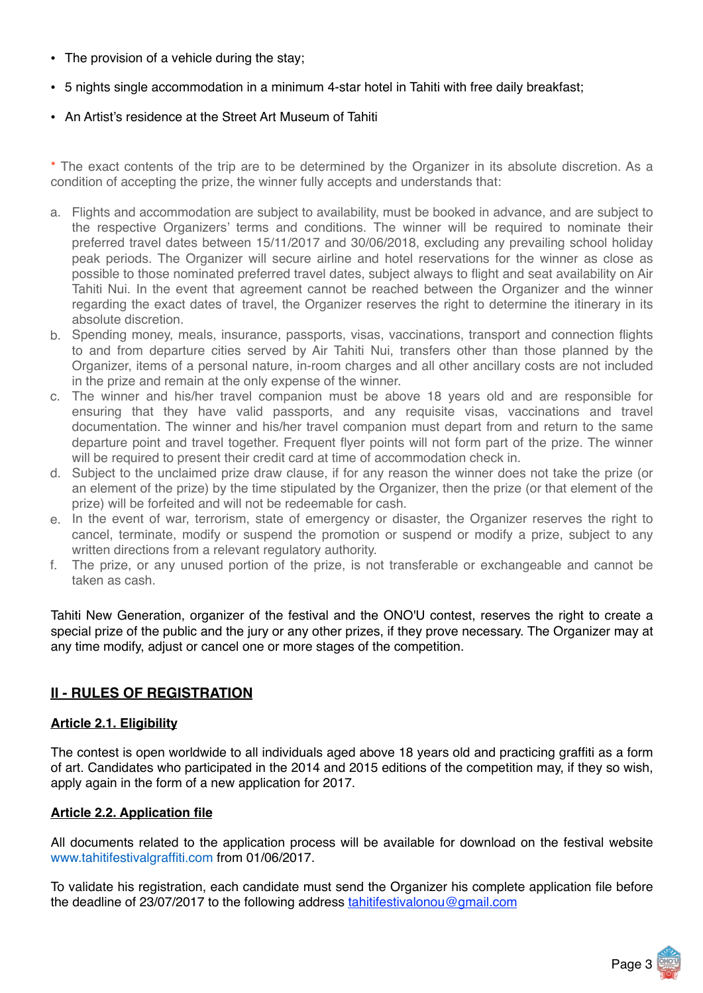- The provision of a vehicle during the stay;
- 5 nights single accommodation in a minimum 4-star hotel in Tahiti with free daily breakfast;
- An Artist's residence at the Street Art Museum of Tahiti

\* The exact contents of the trip are to be determined by the Organizer in its absolute discretion. As a condition of accepting the prize, the winner fully accepts and understands that:

- a. Flights and accommodation are subject to availability, must be booked in advance, and are subject to the respective Organizers' terms and conditions. The winner will be required to nominate their preferred travel dates between 15/11/2017 and 30/06/2018, excluding any prevailing school holiday peak periods. The Organizer will secure airline and hotel reservations for the winner as close as possible to those nominated preferred travel dates, subject always to flight and seat availability on Air Tahiti Nui. In the event that agreement cannot be reached between the Organizer and the winner regarding the exact dates of travel, the Organizer reserves the right to determine the itinerary in its absolute discretion.
- b. Spending money, meals, insurance, passports, visas, vaccinations, transport and connection flights to and from departure cities served by Air Tahiti Nui, transfers other than those planned by the Organizer, items of a personal nature, in-room charges and all other ancillary costs are not included in the prize and remain at the only expense of the winner.
- c. The winner and his/her travel companion must be above 18 years old and are responsible for ensuring that they have valid passports, and any requisite visas, vaccinations and travel documentation. The winner and his/her travel companion must depart from and return to the same departure point and travel together. Frequent flyer points will not form part of the prize. The winner will be required to present their credit card at time of accommodation check in.
- d. Subject to the unclaimed prize draw clause, if for any reason the winner does not take the prize (or an element of the prize) by the time stipulated by the Organizer, then the prize (or that element of the prize) will be forfeited and will not be redeemable for cash.
- e. In the event of war, terrorism, state of emergency or disaster, the Organizer reserves the right to cancel, terminate, modify or suspend the promotion or suspend or modify a prize, subject to any written directions from a relevant regulatory authority.
- f. The prize, or any unused portion of the prize, is not transferable or exchangeable and cannot be taken as cash.

Tahiti New Generation, organizer of the festival and the ONO'U contest, reserves the right to create a special prize of the public and the jury or any other prizes, if they prove necessary. The Organizer may at any time modify, adjust or cancel one or more stages of the competition.

# **II - RULES OF REGISTRATION**

#### **Article 2.1. Eligibility**

The contest is open worldwide to all individuals aged above 18 years old and practicing graffiti as a form of art. Candidates who participated in the 2014 and 2015 editions of the competition may, if they so wish, apply again in the form of a new application for 2017.

## **Article 2.2. Application file**

All documents related to the application process will be available for download on the festival website www.tahitifestivalgraffiti.com from 01/06/2017.

To validate his registration, each candidate must send the Organizer his complete application file before the deadline of 23/07/2017 to the following address [tahitifestivalonou@gmail.com](mailto:tahitifestivalonou@gmail.com)

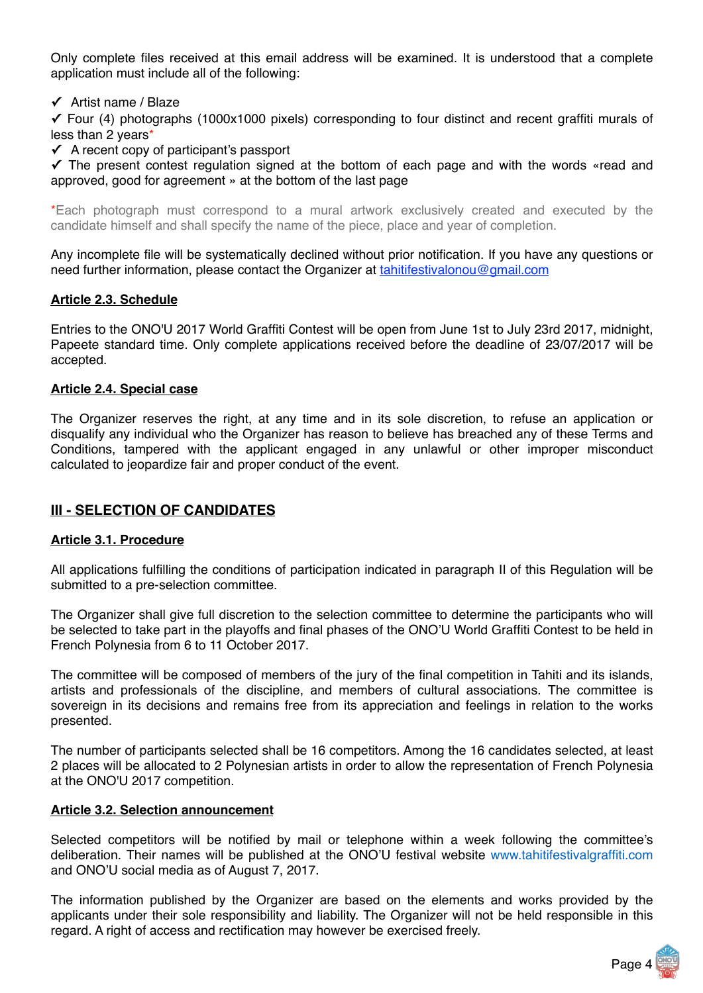Only complete files received at this email address will be examined. It is understood that a complete application must include all of the following:

#### **✓** Artist name / Blaze

**✓** Four (4) photographs (1000x1000 pixels) corresponding to four distinct and recent graffiti murals of less than 2 years\*

**✓** A recent copy of participant's passport

**✓** The present contest regulation signed at the bottom of each page and with the words «read and approved, good for agreement » at the bottom of the last page

\*Each photograph must correspond to a mural artwork exclusively created and executed by the candidate himself and shall specify the name of the piece, place and year of completion.

Any incomplete file will be systematically declined without prior notification. If you have any questions or need further information, please contact the Organizer at tahitifestivalonou@gmail.com

#### **Article 2.3. Schedule**

Entries to the ONO'U 2017 World Graffiti Contest will be open from June 1st to July 23rd 2017, midnight, Papeete standard time. Only complete applications received before the deadline of 23/07/2017 will be accepted.

#### **Article 2.4. Special case**

The Organizer reserves the right, at any time and in its sole discretion, to refuse an application or disqualify any individual who the Organizer has reason to believe has breached any of these Terms and Conditions, tampered with the applicant engaged in any unlawful or other improper misconduct calculated to jeopardize fair and proper conduct of the event.

## **III - SELECTION OF CANDIDATES**

#### **Article 3.1. Procedure**

All applications fulfilling the conditions of participation indicated in paragraph II of this Regulation will be submitted to a pre-selection committee.

The Organizer shall give full discretion to the selection committee to determine the participants who will be selected to take part in the playoffs and final phases of the ONO'U World Graffiti Contest to be held in French Polynesia from 6 to 11 October 2017.

The committee will be composed of members of the jury of the final competition in Tahiti and its islands, artists and professionals of the discipline, and members of cultural associations. The committee is sovereign in its decisions and remains free from its appreciation and feelings in relation to the works presented.

The number of participants selected shall be 16 competitors. Among the 16 candidates selected, at least 2 places will be allocated to 2 Polynesian artists in order to allow the representation of French Polynesia at the ONO'U 2017 competition.

#### **Article 3.2. Selection announcement**

Selected competitors will be notified by mail or telephone within a week following the committee's deliberation. Their names will be published at the ONO'U festival website www.tahitifestivalgraffiti.com and ONO'U social media as of August 7, 2017.

The information published by the Organizer are based on the elements and works provided by the applicants under their sole responsibility and liability. The Organizer will not be held responsible in this regard. A right of access and rectification may however be exercised freely.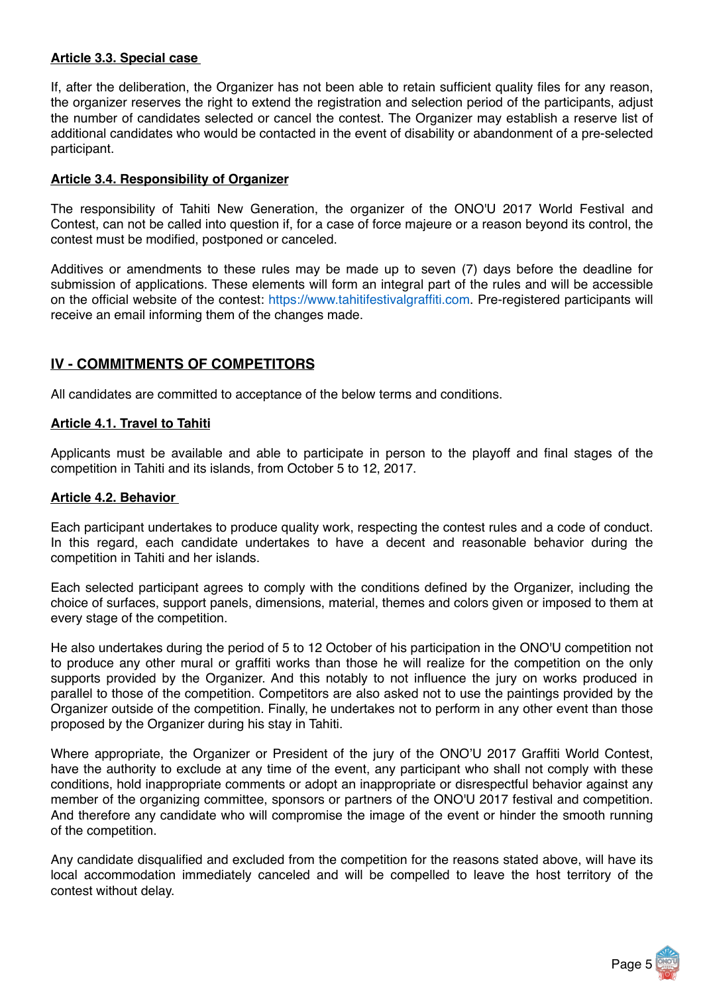## **Article 3.3. Special case**

If, after the deliberation, the Organizer has not been able to retain sufficient quality files for any reason, the organizer reserves the right to extend the registration and selection period of the participants, adjust the number of candidates selected or cancel the contest. The Organizer may establish a reserve list of additional candidates who would be contacted in the event of disability or abandonment of a pre-selected participant.

#### **Article 3.4. Responsibility of Organizer**

The responsibility of Tahiti New Generation, the organizer of the ONO'U 2017 World Festival and Contest, can not be called into question if, for a case of force majeure or a reason beyond its control, the contest must be modified, postponed or canceled.

Additives or amendments to these rules may be made up to seven (7) days before the deadline for submission of applications. These elements will form an integral part of the rules and will be accessible on the official website of the contest: https://www.tahitifestivalgraffiti.com. Pre-registered participants will receive an email informing them of the changes made.

# **IV - COMMITMENTS OF COMPETITORS**

All candidates are committed to acceptance of the below terms and conditions.

#### **Article 4.1. Travel to Tahiti**

Applicants must be available and able to participate in person to the playoff and final stages of the competition in Tahiti and its islands, from October 5 to 12, 2017.

#### **Article 4.2. Behavior**

Each participant undertakes to produce quality work, respecting the contest rules and a code of conduct. In this regard, each candidate undertakes to have a decent and reasonable behavior during the competition in Tahiti and her islands.

Each selected participant agrees to comply with the conditions defined by the Organizer, including the choice of surfaces, support panels, dimensions, material, themes and colors given or imposed to them at every stage of the competition.

He also undertakes during the period of 5 to 12 October of his participation in the ONO'U competition not to produce any other mural or graffiti works than those he will realize for the competition on the only supports provided by the Organizer. And this notably to not influence the jury on works produced in parallel to those of the competition. Competitors are also asked not to use the paintings provided by the Organizer outside of the competition. Finally, he undertakes not to perform in any other event than those proposed by the Organizer during his stay in Tahiti.

Where appropriate, the Organizer or President of the jury of the ONO'U 2017 Graffiti World Contest, have the authority to exclude at any time of the event, any participant who shall not comply with these conditions, hold inappropriate comments or adopt an inappropriate or disrespectful behavior against any member of the organizing committee, sponsors or partners of the ONO'U 2017 festival and competition. And therefore any candidate who will compromise the image of the event or hinder the smooth running of the competition.

Any candidate disqualified and excluded from the competition for the reasons stated above, will have its local accommodation immediately canceled and will be compelled to leave the host territory of the contest without delay.

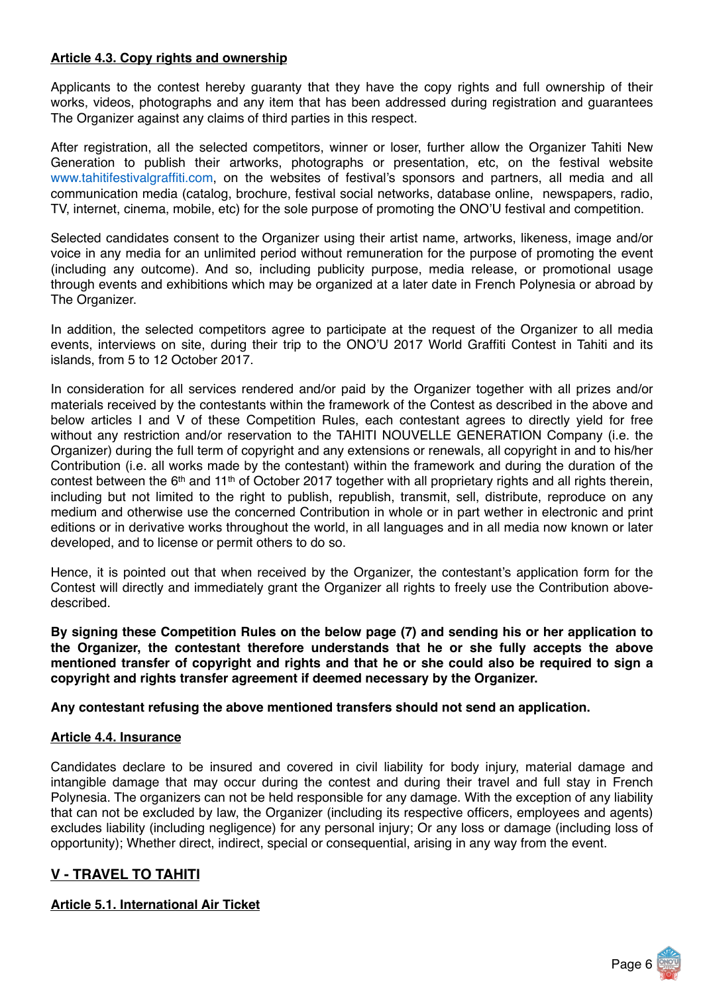## **Article 4.3. Copy rights and ownership**

Applicants to the contest hereby guaranty that they have the copy rights and full ownership of their works, videos, photographs and any item that has been addressed during registration and guarantees The Organizer against any claims of third parties in this respect.

After registration, all the selected competitors, winner or loser, further allow the Organizer Tahiti New Generation to publish their artworks, photographs or presentation, etc, on the festival website www.tahitifestivalgraffiti.com, on the websites of festival's sponsors and partners, all media and all communication media (catalog, brochure, festival social networks, database online, newspapers, radio, TV, internet, cinema, mobile, etc) for the sole purpose of promoting the ONO'U festival and competition.

Selected candidates consent to the Organizer using their artist name, artworks, likeness, image and/or voice in any media for an unlimited period without remuneration for the purpose of promoting the event (including any outcome). And so, including publicity purpose, media release, or promotional usage through events and exhibitions which may be organized at a later date in French Polynesia or abroad by The Organizer.

In addition, the selected competitors agree to participate at the request of the Organizer to all media events, interviews on site, during their trip to the ONO'U 2017 World Graffiti Contest in Tahiti and its islands, from 5 to 12 October 2017.

In consideration for all services rendered and/or paid by the Organizer together with all prizes and/or materials received by the contestants within the framework of the Contest as described in the above and below articles I and V of these Competition Rules, each contestant agrees to directly yield for free without any restriction and/or reservation to the TAHITI NOUVELLE GENERATION Company (i.e. the Organizer) during the full term of copyright and any extensions or renewals, all copyright in and to his/her Contribution (i.e. all works made by the contestant) within the framework and during the duration of the contest between the 6<sup>th</sup> and 11<sup>th</sup> of October 2017 together with all proprietary rights and all rights therein, including but not limited to the right to publish, republish, transmit, sell, distribute, reproduce on any medium and otherwise use the concerned Contribution in whole or in part wether in electronic and print editions or in derivative works throughout the world, in all languages and in all media now known or later developed, and to license or permit others to do so.

Hence, it is pointed out that when received by the Organizer, the contestant's application form for the Contest will directly and immediately grant the Organizer all rights to freely use the Contribution abovedescribed.

**By signing these Competition Rules on the below page (7) and sending his or her application to the Organizer, the contestant therefore understands that he or she fully accepts the above mentioned transfer of copyright and rights and that he or she could also be required to sign a copyright and rights transfer agreement if deemed necessary by the Organizer.**

**Any contestant refusing the above mentioned transfers should not send an application.**

#### **Article 4.4. Insurance**

Candidates declare to be insured and covered in civil liability for body injury, material damage and intangible damage that may occur during the contest and during their travel and full stay in French Polynesia. The organizers can not be held responsible for any damage. With the exception of any liability that can not be excluded by law, the Organizer (including its respective officers, employees and agents) excludes liability (including negligence) for any personal injury; Or any loss or damage (including loss of opportunity); Whether direct, indirect, special or consequential, arising in any way from the event.

## **V - TRAVEL TO TAHITI**

#### **Article 5.1. International Air Ticket**